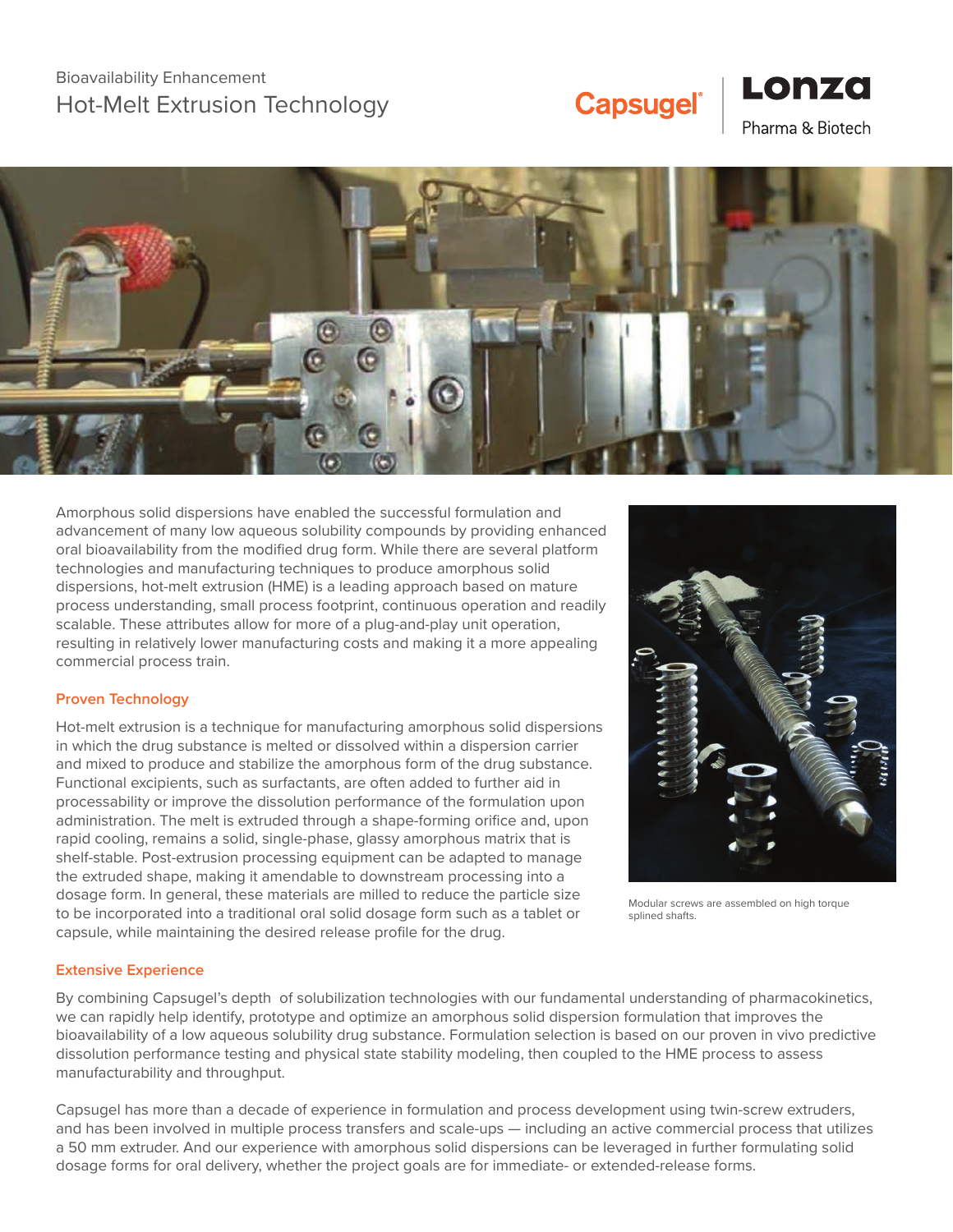## **Capsugel®**

### Pharma & Biotech

Lonza



Amorphous solid dispersions have enabled the successful formulation and advancement of many low aqueous solubility compounds by providing enhanced oral bioavailability from the modified drug form. While there are several platform technologies and manufacturing techniques to produce amorphous solid dispersions, hot-melt extrusion (HME) is a leading approach based on mature process understanding, small process footprint, continuous operation and readily scalable. These attributes allow for more of a plug-and-play unit operation, resulting in relatively lower manufacturing costs and making it a more appealing commercial process train.

#### **Proven Technology**

Hot-melt extrusion is a technique for manufacturing amorphous solid dispersions in which the drug substance is melted or dissolved within a dispersion carrier and mixed to produce and stabilize the amorphous form of the drug substance. Functional excipients, such as surfactants, are often added to further aid in processability or improve the dissolution performance of the formulation upon administration. The melt is extruded through a shape-forming orifice and, upon rapid cooling, remains a solid, single-phase, glassy amorphous matrix that is shelf-stable. Post-extrusion processing equipment can be adapted to manage the extruded shape, making it amendable to downstream processing into a dosage form. In general, these materials are milled to reduce the particle size to be incorporated into a traditional oral solid dosage form such as a tablet or capsule, while maintaining the desired release profile for the drug.



Modular screws are assembled on high torque splined shafts.

#### **Extensive Experience**

By combining Capsugel's depth of solubilization technologies with our fundamental understanding of pharmacokinetics, we can rapidly help identify, prototype and optimize an amorphous solid dispersion formulation that improves the bioavailability of a low aqueous solubility drug substance. Formulation selection is based on our proven in vivo predictive dissolution performance testing and physical state stability modeling, then coupled to the HME process to assess manufacturability and throughput.

Capsugel has more than a decade of experience in formulation and process development using twin-screw extruders, and has been involved in multiple process transfers and scale-ups — including an active commercial process that utilizes a 50 mm extruder. And our experience with amorphous solid dispersions can be leveraged in further formulating solid dosage forms for oral delivery, whether the project goals are for immediate- or extended-release forms.